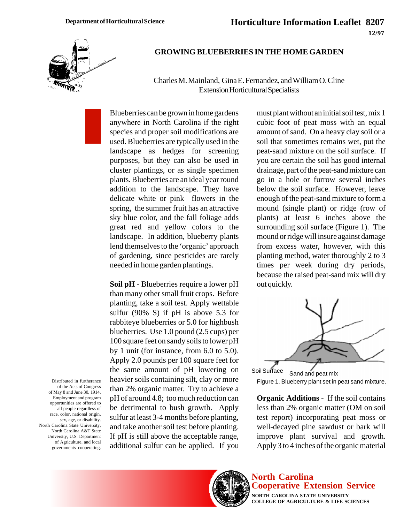

#### **GROWING BLUEBERRIES IN THE HOME GARDEN**

Charles M. Mainland, Gina E. Fernandez, and William O. Cline Extension Horticultural Specialists

Blueberries can be grown in home gardens anywhere in North Carolina if the right species and proper soil modifications are used. Blueberries are typically used in the landscape as hedges for screening purposes, but they can also be used in cluster plantings, or as single specimen plants. Blueberries are an ideal year round addition to the landscape. They have delicate white or pink flowers in the spring, the summer fruit has an attractive sky blue color, and the fall foliage adds great red and yellow colors to the landscape. In addition, blueberry plants lend themselves to the 'organic' approach of gardening, since pesticides are rarely needed in home garden plantings.

**Soil pH** - Blueberries require a lower pH than many other small fruit crops. Before planting, take a soil test. Apply wettable sulfur (90% S) if pH is above 5.3 for rabbiteye blueberries or 5.0 for highbush blueberries. Use 1.0 pound (2.5 cups) per 100 square feet on sandy soils to lower pH by 1 unit (for instance, from 6.0 to 5.0). Apply 2.0 pounds per 100 square feet for the same amount of pH lowering on heavier soils containing silt, clay or more than 2% organic matter. Try to achieve a pH of around 4.8; too much reduction can be detrimental to bush growth. Apply sulfur at least 3-4 months before planting, and take another soil test before planting. If pH is still above the acceptable range, additional sulfur can be applied. If you

must plant without an initial soil test, mix 1 cubic foot of peat moss with an equal amount of sand. On a heavy clay soil or a soil that sometimes remains wet, put the peat-sand mixture on the soil surface. If you are certain the soil has good internal drainage, part of the peat-sand mixture can go in a hole or furrow several inches below the soil surface. However, leave enough of the peat-sand mixture to form a mound (single plant) or ridge (row of plants) at least 6 inches above the surrounding soil surface (Figure 1). The mound or ridge will insure against damage from excess water, however, with this planting method, water thoroughly 2 to 3 times per week during dry periods, because the raised peat-sand mix will dry out quickly.



Soil Surface Sand and peat mix Figure 1. Blueberry plant set in peat sand mixture.

**Organic Additions** - If the soil contains less than 2% organic matter (OM on soil test report) incorporating peat moss or well-decayed pine sawdust or bark will improve plant survival and growth. Apply 3 to 4 inches of the organic material

# **North Carolina Cooperative Extension Service**

**NORTH CAROLINA STATE UNIVERSITY COLLEGE OF AGRICULTURE & LIFE SCIENCES**

Distributed in furtherance of the Acts of Congress of May 8 and June 30, 1914. Employment and program opportunities are offered to all people regardless of race, color, national origin, sex, age, or disability. North Carolina State University, North Carolina A&T State University, U.S. Department of Agriculture, and local governments cooperating.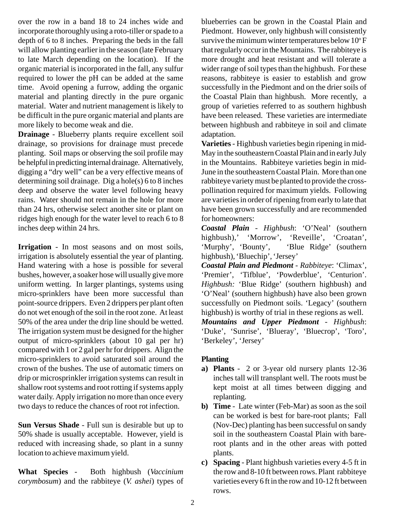over the row in a band 18 to 24 inches wide and incorporate thoroughly using a roto-tiller or spade to a depth of 6 to 8 inches. Preparing the beds in the fall will allow planting earlier in the season (late February to late March depending on the location). If the organic material is incorporated in the fall, any sulfur required to lower the pH can be added at the same time. Avoid opening a furrow, adding the organic material and planting directly in the pure organic material. Water and nutrient management is likely to be difficult in the pure organic material and plants are more likely to become weak and die.

**Drainage** - Blueberry plants require excellent soil drainage, so provisions for drainage must precede planting. Soil maps or observing the soil profile may be helpful in predicting internal drainage. Alternatively, digging a "dry well" can be a very effective means of determining soil drainage. Dig a hole(s) 6 to 8 inches deep and observe the water level following heavy rains. Water should not remain in the hole for more than 24 hrs, otherwise select another site or plant on ridges high enough for the water level to reach 6 to 8 inches deep within 24 hrs.

**Irrigation** - In most seasons and on most soils, irrigation is absolutely essential the year of planting. Hand watering with a hose is possible for several bushes, however, a soaker hose will usually give more uniform wetting. In larger plantings, systems using micro-sprinklers have been more successful than point-source drippers. Even 2 drippers per plant often do not wet enough of the soil in the root zone. At least 50% of the area under the drip line should be wetted. The irrigation system must be designed for the higher output of micro-sprinklers (about 10 gal per hr) compared with 1 or 2 gal per hr for drippers. Align the micro-sprinklers to avoid saturated soil around the crown of the bushes. The use of automatic timers on drip or microsprinkler irrigation systems can result in shallow root systems and root rotting if systems apply water daily. Apply irrigation no more than once every two days to reduce the chances of root rot infection.

**Sun Versus Shade** - Full sun is desirable but up to 50% shade is usually acceptable. However, yield is reduced with increasing shade, so plant in a sunny location to achieve maximum yield.

**What Species** - Both highbush (*Vaccinium corymbosum*) and the rabbiteye (*V. ashei*) types of blueberries can be grown in the Coastal Plain and Piedmont. However, only highbush will consistently survive the minimum winter temperatures below  $10^{\circ}$  F that regularly occur in the Mountains. The rabbiteye is more drought and heat resistant and will tolerate a wider range of soil types than the highbush. For these reasons, rabbiteye is easier to establish and grow successfully in the Piedmont and on the drier soils of the Coastal Plain than highbush. More recently, a group of varieties referred to as southern highbush have been released. These varieties are intermediate between highbush and rabbiteye in soil and climate adaptation.

**Varieties** - Highbush varieties begin ripening in mid-May in the southeastern Coastal Plain and in early July in the Mountains. Rabbiteye varieties begin in mid-June in the southeastern Coastal Plain. More than one rabbiteye variety must be planted to provide the crosspollination required for maximum yields. Following are varieties in order of ripening from early to late that have been grown successfully and are recommended for homeowners:

*Coastal Plain - Highbush*: 'O'Neal' (southern highbush),' 'Morrow', 'Reveille', 'Croatan', 'Murphy', 'Bounty', 'Blue Ridge' (southern highbush), 'Bluechip', 'Jersey'

*Coastal Plain and Piedmont - Rabbiteye*: 'Climax', 'Premier', 'Tifblue', 'Powderblue', 'Centurion'. *Highbush:* 'Blue Ridge' (southern highbush) and 'O'Neal' (southern highbush) have also been grown successfully on Piedmont soils. 'Legacy' (southern highbush) is worthy of trial in these regions as well.

*Mountains and Upper Piedmont - Highbush*: 'Duke', 'Sunrise', 'Blueray', 'Bluecrop', 'Toro', 'Berkeley', 'Jersey'

## **Planting**

- **a) Plants** 2 or 3-year old nursery plants 12-36 inches tall will transplant well. The roots must be kept moist at all times between digging and replanting.
- **b) Time** Late winter (Feb-Mar) as soon as the soil can be worked is best for bare-root plants; Fall (Nov-Dec) planting has been successful on sandy soil in the southeastern Coastal Plain with bareroot plants and in the other areas with potted plants.
- **c) Spacing** Plant highbush varieties every 4-5 ft in the row and 8-10 ft between rows. Plant rabbiteye varieties every 6 ft in the row and 10-12 ft between rows.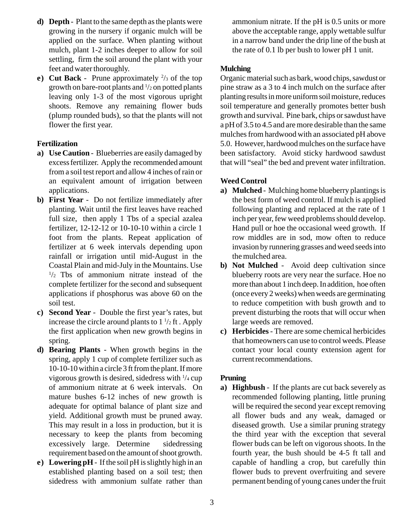- **d) Depth** Plant to the same depth as the plants were growing in the nursery if organic mulch will be applied on the surface. When planting without mulch, plant 1-2 inches deeper to allow for soil settling, firm the soil around the plant with your feet and water thoroughly.
- **e)** Cut Back Prune approximately  $\frac{2}{3}$  of the top growth on bare-root plants and 1 /2 on potted plants leaving only 1-3 of the most vigorous upright shoots. Remove any remaining flower buds (plump rounded buds), so that the plants will not flower the first year.

# **Fertilization**

- **a) Use Caution** Blueberries are easily damaged by excess fertilizer. Apply the recommended amount from a soil test report and allow 4 inches of rain or an equivalent amount of irrigation between applications.
- **b) First Year**  Do not fertilize immediately after planting. Wait until the first leaves have reached full size, then apply 1 Tbs of a special azalea fertilizer, 12-12-12 or 10-10-10 within a circle 1 foot from the plants. Repeat application of fertilizer at 6 week intervals depending upon rainfall or irrigation until mid-August in the Coastal Plain and mid-July in the Mountains. Use  $1/2$  Tbs of ammonium nitrate instead of the complete fertilizer for the second and subsequent applications if phosphorus was above 60 on the soil test.
- **c) Second Year** Double the first year's rates, but increase the circle around plants to  $1\frac{1}{2}$  ft. Apply the first application when new growth begins in spring.
- **d) Bearing Plants** When growth begins in the spring, apply 1 cup of complete fertilizer such as 10-10-10 within a circle 3 ft from the plant. If more vigorous growth is desired, sidedress with 1 /4 cup of ammonium nitrate at 6 week intervals. On mature bushes 6-12 inches of new growth is adequate for optimal balance of plant size and yield. Additional growth must be pruned away. This may result in a loss in production, but it is necessary to keep the plants from becoming excessively large. Determine sidedressing requirement based on the amount of shoot growth.
- **e) Lowering pH** If the soil pH is slightly high in an established planting based on a soil test; then sidedress with ammonium sulfate rather than

ammonium nitrate. If the pH is 0.5 units or more above the acceptable range, apply wettable sulfur in a narrow band under the drip line of the bush at the rate of 0.1 lb per bush to lower pH 1 unit.

## **Mulching**

Organic material such as bark, wood chips, sawdust or pine straw as a 3 to 4 inch mulch on the surface after planting results in more uniform soil moisture, reduces soil temperature and generally promotes better bush growth and survival. Pine bark, chips or sawdust have a pH of 3.5 to 4.5 and are more desirable than the same mulches from hardwood with an associated pH above 5.0. However, hardwood mulches on the surface have been satisfactory. Avoid sticky hardwood sawdust that will "seal" the bed and prevent water infiltration.

# **Weed Control**

- **a) Mulched** Mulching home blueberry plantings is the best form of weed control. If mulch is applied following planting and replaced at the rate of 1 inch per year, few weed problems should develop. Hand pull or hoe the occasional weed growth. If row middles are in sod, mow often to reduce invasion by runnering grasses and weed seeds into the mulched area.
- **b) Not Mulched** Avoid deep cultivation since blueberry roots are very near the surface. Hoe no more than about 1 inch deep. In addition, hoe often (once every 2 weeks) when weeds are germinating to reduce competition with bush growth and to prevent disturbing the roots that will occur when large weeds are removed.
- **c) Herbicides** There are some chemical herbicides that homeowners can use to control weeds. Please contact your local county extension agent for current recommendations.

# **Pruning**

**a) Highbush** - If the plants are cut back severely as recommended following planting, little pruning will be required the second year except removing all flower buds and any weak, damaged or diseased growth. Use a similar pruning strategy the third year with the exception that several flower buds can be left on vigorous shoots. In the fourth year, the bush should be 4-5 ft tall and capable of handling a crop, but carefully thin flower buds to prevent overfruiting and severe permanent bending of young canes under the fruit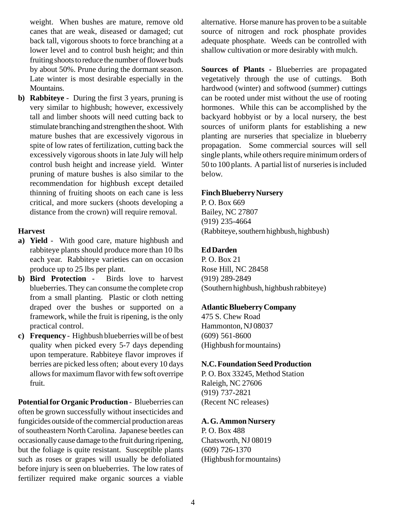weight. When bushes are mature, remove old canes that are weak, diseased or damaged; cut back tall, vigorous shoots to force branching at a lower level and to control bush height; and thin fruiting shoots to reduce the number of flower buds by about 50%. Prune during the dormant season. Late winter is most desirable especially in the Mountains.

**b) Rabbiteye** - During the first 3 years, pruning is very similar to highbush; however, excessively tall and limber shoots will need cutting back to stimulate branching and strengthen the shoot. With mature bushes that are excessively vigorous in spite of low rates of fertilization, cutting back the excessively vigorous shoots in late July will help control bush height and increase yield. Winter pruning of mature bushes is also similar to the recommendation for highbush except detailed thinning of fruiting shoots on each cane is less critical, and more suckers (shoots developing a distance from the crown) will require removal.

#### **Harvest**

- **a) Yield** With good care, mature highbush and rabbiteye plants should produce more than 10 lbs each year. Rabbiteye varieties can on occasion produce up to 25 lbs per plant.
- **b) Bird Protection** Birds love to harvest blueberries. They can consume the complete crop from a small planting. Plastic or cloth netting draped over the bushes or supported on a framework, while the fruit is ripening, is the only practical control.
- **c) Frequency** Highbush blueberries will be of best quality when picked every 5-7 days depending upon temperature. Rabbiteye flavor improves if berries are picked less often; about every 10 days allows for maximum flavor with few soft overripe fruit.

**Potentialfor Organic Production** - Blueberries can often be grown successfully without insecticides and fungicides outside of the commercial production areas of southeastern North Carolina. Japanese beetles can occasionally cause damage to the fruit during ripening, but the foliage is quite resistant. Susceptible plants such as roses or grapes will usually be defoliated before injury is seen on blueberries. The low rates of fertilizer required make organic sources a viable alternative. Horse manure has proven to be a suitable source of nitrogen and rock phosphate provides adequate phosphate. Weeds can be controlled with shallow cultivation or more desirably with mulch.

**Sources of Plants -** Blueberries are propagated vegetatively through the use of cuttings. Both hardwood (winter) and softwood (summer) cuttings can be rooted under mist without the use of rooting hormones. While this can be accomplished by the backyard hobbyist or by a local nursery, the best sources of uniform plants for establishing a new planting are nurseries that specialize in blueberry propagation. Some commercial sources will sell single plants, while others require minimum orders of 50 to 100 plants. A partial list of nurseries is included below.

#### **Finch Blueberry Nursery**

P. O. Box 669 Bailey, NC 27807 (919) 235-4664 (Rabbiteye, southern highbush, highbush)

#### **Ed Darden**

P. O. Box 21 Rose Hill, NC 28458 (919) 289-2849 (Southern highbush, highbush rabbiteye)

#### **Atlantic Blueberry Company**

475 S. Chew Road Hammonton, NJ 08037 (609) 561-8600 (Highbush for mountains)

#### **N.C. Foundation Seed Production**

P. O. Box 33245, Method Station Raleigh, NC 27606 (919) 737-2821 (Recent NC releases)

#### **A. G. Ammon Nursery**

P. O. Box 488 Chatsworth, NJ 08019 (609) 726-1370 (Highbush for mountains)